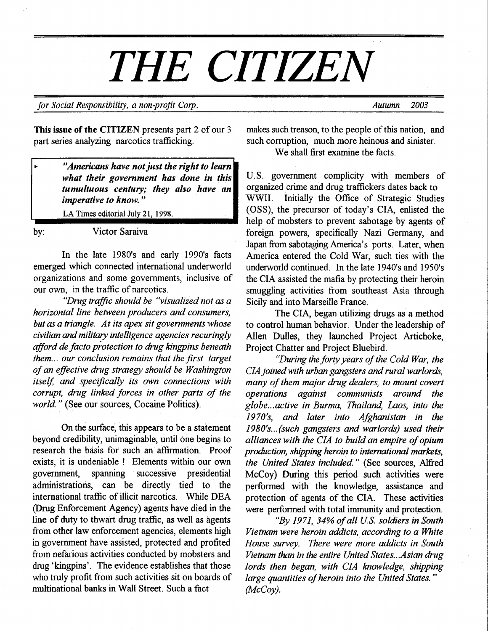# THE CITIZEN

for Social Responsibility, a non-profit Corp.  $\blacksquare$  Autumn 2003

This issue of the CITIZEN presents part 2 of our 3 part series analyzing narcotics trafficking.

> "Americans have not just the right to learn what their government has done in this tumultuous century; they also have an imperative to know."

LA Times editorial Julv 21. 1998.

,

by: Victor Saraiva

In the late 1980's and early 1990's facts emerged which connected international underworld organizations and some governments, inclusive of our own, in the traffic of narcotics.<br>"Drug traffic should be "visualized not as a

horizontal line between producers and consumers, but as a triangle. At its apex sit governments whose civilian and military intelligence agencies recuringly afford de facto protection to drug kingpins beneath them... our conclusion remains that the first target of an effective drug strategy should be Washington itself, and specifically its own connections with corrupt, drug linked forces in other parts of the world." (See our sources, Cocaine Politics).

On the surface, this appears to be a statement beyond credibility, unimaginable, until one begins to research the bdsis for such an affirmation. Proof exists, it is undeniable ! Elements within our own government, spanning successive presidential administrations, can be directly tied to the international traffic of illicit narcotics. While DEA (Drug Enforcement Agency) agents have died in the line of duty to thwart drug traffic, as well as agents from other law enforcement agencies, elements high in government have assisted, protected and profited from nefarious activities conducted by mobsters and drug 'kingpins'. The evidence establishes that those who truly profit from such activities sit on boards of multinational banks in Wall Street. Such a fact

makes such treason, to the people of this nation, and such corruption, much more heinous and sinister. We shall first examine the facts.

U.S. government complicity with members of organized crime and drug traffickers dates back to WWII. Initially the Office of Strategic Studies (OSS), the precursor of today's CIA, enlisted the help of mobsters to prevent sabotage by agents of foreign powers, specifically Nazi Germany, and Japan from sabotaging America's ports. Later, when America entered the Cold War, such ties with the underworld continued. In the late 1940's and 1950's the CIA assisted the mafia by protecting their heroin smuggling activities from southeast Asia through Sicily and into Marseille France.

The CIA, began utilizing drugs as a method to control human behavior. Under the leadership of Allen Dulles, they launched Project Artichoke, Project Chatter and Project Bluebird.

"During the forty years of the Cold War, the CIA joined with urban gangsters and rural warlords, many of them major drug dealers, to mount covert operations against communists around the globe...active in Burma, Thailand, Laos, into the 1970's, and later into Afghanistan in the  $1980's...$  (such gangsters and warlords) used their alliances with the CIA to build an empire of opium production, shipping heroin to international markets, the United States included." (See sources, Alfred McCoy) During this period such activities were performed with the knowledge, assistance and protection of agents of the CIA. These activities were performed with total immunity and protection.

"By 1971, 34% of all U.S. soldiers in South Vietnam were heroin addicts, according to a White House survey. There were more addicts in South Vietnam than in the entire United States...Asian drug Iords then began, with CIA knowledge, shipping large quantities of heroin into the United States."  $(McCov)$ .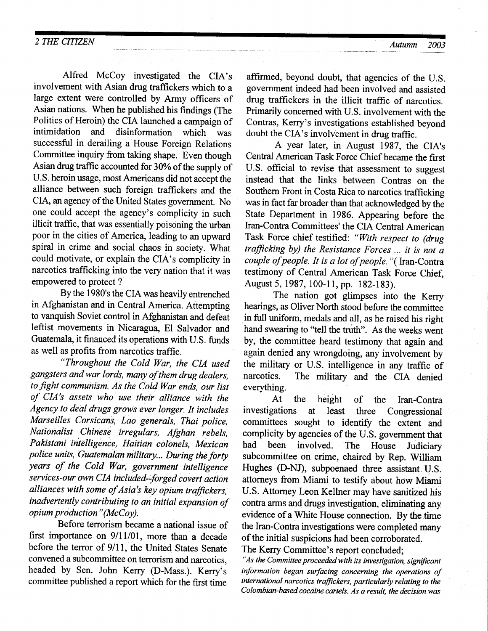Alfred McCoy investigated the CIA's involvement with Asian drug traffickers which to a large extent were controlled by Army officers of Asian nations. When he published his findings (The Politics of Heroin) the CIA launched a campaign of<br>intimidation and disinformation which was and disinformation which was successful in derailing a House Foreign Relations Committee inquiry from taking shape. Even though Asian drug traffrc accounted for 30Yo of the supply of U.S. heroin usage, most Americans did not accept the alliance between such foreign traffickers and the CIA, an agency of the United States government. No one could accept the agency's complicity in such illicit traffrc, that was essentially poisoning the urban poor in the cities of America, leading to an upward spiral in crime and social chaos in society. What could motivate, or explain the CIA's complicity in narcotics trafficking into the very nation that it was empowered to protect ?

By the 1980's the CIA was heavily entrenched in Afghanistan and in Central America. Attempting to vanquish Soviet control in Afghanistan and defeat leftist movements in Nicaragua, El Salvador and Guatemala, it financed its operations with U.S. funds

"Throughout the Cold War, the CIA used gangsters andwar lords, many of them drug dealers, to fight communism. As the Cold War ends, our list of CIA'r assets who use their alliance with the Agency to deal drugs grows ever longer. It includes Marseilles Corsicans, Lao generals, Thai police, Nationalist Chinese irregulars, Afghan Pakistani intelligence, Haitian colonels, Mexican police units, Guatemalan military... During the forty years of the Cold War, government intelligence services-our own CIA included-forged covert action alliances with some of Asia's key opium trafickers, inadvertently contributing to an initial expansion of opium production" (McCoy).

Before terrorism became a national issue of first importance on  $9/11/01$ , more than a decade before the terror of 9/ll, the United States Senate convened asubcommittee on terrorism and narcotics, headed by Sen. John Kerry (D-Mass.). Kerry's committee published a report which for the first time

affirmed, beyond doubt, that agencies of the U.S. govemment indeed had been involved and assisted drug traffickers in the illicit traffic of narcotics. Primarily concerned with U.S. involvement with the Contras, Kerry's investigations established beyond doubt the CIA's involvement in drug traffic.

A year later, in August 1987, the CIA's Central American Task Force Chief became the first U.S. official to revise that assessment to suggest instead that the links between Contras on the Southern Front in Costa Rica to narcotics trafficking was in fact far broader than that acknowledged by the State Department in 1986. Appearing before the Iran-Contra Committees' the CIA Central American Task Force chief testified: "With respect to (drug trafficking by) the Resistance Forces ... it is not a couple of people. It is a lot of people. "( Iran-Contra testimony of Central American Task Force Chief, August 5, 1987, 100-11, pp. 182-183).

The nation got glimpses into the Kerry hearings, as Oliver North stood before the committee in full uniform, medals and all, as he raised his right hand swearing to "tell the truth". As the weeks went by, the committee heard testimony that again and again denied any wrongdoing, any involvement by the military or U.S. intelligence in any traffic of narcotics. The military and the CIA denied The military and the CIA denied everything.

At the height of the Iran-Contra investigations at least three Congressional committees sought to identify the extent and complicity by agencies of the U.S. government that<br>had been involved. The House Indiciary been involved. The House Judiciary subcommittee on crime, chaired by Rep. William Hughes (D-NJ), subpoenaed three assistant. U.S. attorneys from Miami to testify about how Miami U.S. Attorney Leon Kellner may have sanitized his contra arms and drugs investigation, eliminating any evidence of a White House connection. By the time the Iran-Contra investigations were completed many of the initial suspicions had been corroborated.

"As the Committee proceeded with its investigation, significant information began surfacing concerning the operations of international narcotics trafickers, particularly relating to the Colombian-based cocaine cartels. As a result, the decision was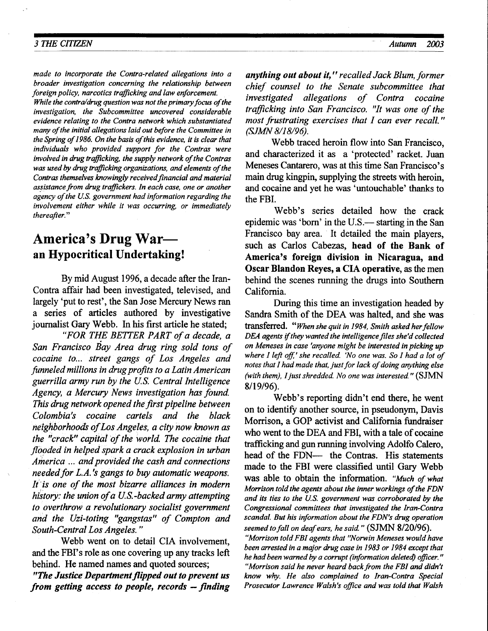made to incorporate the Contra-related allegations into a broader investigation concerning the relationship between foreign policy, narcotics trafficking and law enforcement.

While the contra/drug question was not the primary focus of the iwestigation, the Subcommittee uncovered considerable evidence relating to the Contra network which substantiated many of the initial allegations laid out before the Committee in the Spring of 1986. On the basis of this evidence, it is clear that individuals who provided support for the Contras were involved in drug trafficking, the supply network of the Contras was used by drug trafficking organizations, and elements of the Contras themselves knowingly received financial and material assistance from drug traffickers. In each case, one or another agency of the U.S. government had information regarding the involvement either while it was occurring, or immediately thereafter."

# America's Drug Waran Hypocritical Undertaking!

By mid August 1996, a decade after the Iran-Contra affair had been investigated, televised, and largely 'put to rest', the San Jose Mercury News ran a series of articles authored by investigative journalist Gary Webb. In his first article he stated;<br>"FOR THE BETTER PART of a decade, a

San Francisco Eay Area drug ring sold tons of cocaine to... street gangs of Los Angeles and funneled millions in drug profits to a Latin American guerrilla army run by the U.S. Central Intelligence Agency, a Mercury News investigation has found. This drug network opened the first pipeline between Colombia's cocaine cartels and the black neighborhoods of Los Angeles, a city now known as the "crack" capital of the world. The cocaine that flooded in helped spark a crack explosion in urban America ... and provided the cash and connections needed for  $L.A.$ 's gangs to buy automatic weapons. It is one of the most bizarre alliances in modern history: the union of a U.S.-backed army attempting to overthrow a revolutionary socialist government and the Uzi-toting "gangstas" of Compton and South-Central Los Angeles. "

Webb went on to detail CIA involvement, and the FBI's role as one covering up any tracks left behind. He named names and quoted sources; "The Justice Department flipped out to prevent us from getting access to people, records  $-$  finding

anything out about it," recalled Jack Blum, former chief counsel to the Senate subcommittee that investigated allegations of Contra cocaine trafficking into San Francisco. "It was one of the most frustrating exercises that I can ever recall." (SJMN 8/18/96).

Webb traced heroin flow into San Francisco, and characterized it as a 'protected' racket. Juan Meneses Cantarero, was at this time San Francisco's main drug kingpin, supplying the streets with heroin, and cocaine and yet he was 'untouchable' thanks to the FBI.

Webb's series detailed how the crack epidemic was 'born' in the U.S.— starting in the San Francisco bay area. It detailed the main players, such as Carlos Cabezas, head of the Bank of America's foreign division in Nicaragua, and Oscar Blandon Reyes, a CIA operative, as the men behind the scenes running the drugs into Southern California.

During this time an investigation headed by Sandra Smith of the DEA was halted, and she was transferred. "When she quit in 1984. Smith asked her fellow DEA agents if they wanted the intelligence files she'd collected on Meneses in case 'anyone might be interested in picking up where  $I$  left off,' she recalled. 'No one was. So  $I$  had a lot of notes that I had made that, just for lack of doing anything else (with them), I just shredded. No one was interested."  $(SJMN)$ 8/19/96).

Webb's reporting didn't end there, he went on to identify another source, in pseudonym, Davis Morrison, a GOP activist and California fundraiser who went to the DEA and FBI, with a tale of cocaine trafficking and gun running involving Adolfo Calero, head of the FDN- the Contras. His statements made to the FBI were classified until Gary Webb was able to obtain the information. "Much of what Morrison told the agents about the inner workings of the FDN and its ties to the U.S. gwernment was corroborated by the Congressional committees that investigated the Iran-Contra scandal. But his information about the FDN's drug operation seemed to fall on deaf ears, he said." (SJMN 8/20/96).

"Morrison told FBI agents that "Norwin Meneses would have been arrested in a major drug case in 1983 or 1984 except that he had been warned by a corrupt (information deleted) officer." "Morrison said he never heard back from the FBI and didn't know why. He also complained to Iran-Contra Special Prosecutor Lawrence Walsh's office and was told that Walsh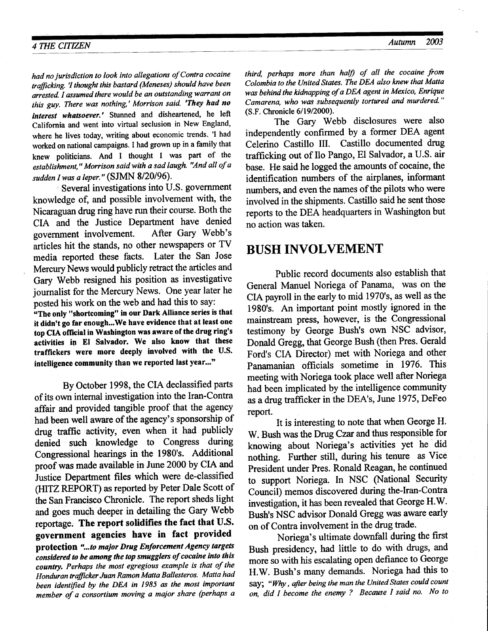# A THE CITIZEN Autumn 2003

had no jurisdiction to look into allegations of Contra cocaine trafficking. 'I thought this bastard (Meneses) should have been arrested. I assumed there would be an outstanding warrant on this guy. There was nothing,' Morrison said. 'They had no interest whatsoever.' Stunned and disheartened, he left California and went into virtual seclusion in New England, where he lives today, writing about economic trends. 'I had worked on national campaigns. I had grown up in a family that knew politicians. And I thought I was part of the establishment," Morrison said with a sad laugh. "And all of a sudden I was a leper." (SJMN 8/20/96).

' Several investigations into U.S. government knowledge of, and possible involvement with, the Nicaraguan drug ring have run their course. Both the CIA and the Justice Department have denied<br>government involvement. After Gary Webb's government involvement. articles hit the stands, no other newspapers or TV media reported these facts. Later the San Jose Mercury News would publicly retract the articles and Gary Webb resigned his position as investigative journalist for the Mercury News. One year later he posted his work on the web and had this to say:

"The only "shortcoming" in our Dark Alliance series is that it didn't go far enough...We have evidence that at least one top CIA oflicial in Washington was aware of the drug ring's activities in El Salvador. We also know that these traffickers were more deeply involved with the U.S. intelligence community than we reported last year..."

By October 1998, the CIA declassified parts of its own internal investigation into the lran-Contra affair and provided tangible proof that the agency had been well aware of the agency's sponsorship of drug traffic activity, even when it had publicly denied such knowledge to Congress during Congressional hearings in the 1980's. Additional proof was made available in.Iune 2000 by CLA and Justice Department files which were de-classified (HITZ REPORT) as reported by Peter Dale Scott of the San Francisco Chronicle. The report sheds light and goes much deeper in detailing the Gary Webb reportage. The report solidifies the fact that U.S. government agencies have in fact provided protection "...to major Drug Enforcement Agency targets considered to be among the top smugglers of cocaine into this country. Perhaps the most egregious example is that of the Honduran trafficker Juan Ramon Matta Ballesteros. Matta had been identified by the DEA in 1985 as the most important member of a consortium moving a maior share (perhaps a third, perhaps more than half) of all the cocaine from Colombia to the United States. The DEA also knew that Matta was behind the kidnapping of a DEA agent in Mexico, Enrique Camarena, who was subsequently tortured and murdered." (S.F. Chronicle 6/19/2000).

The Gary Webb disclosures were also independently confirmed by a former DEA agent Celerino Castillo III. Castillo documented drug trafficking out of Ilo Pango, El Salvador, a U.S. air base. He said he logged the amounts of cocaine, the identification numbers of the airplanes, informant numbers, and even the names of the pilots who were involved in the shipments. Castillo said he sent those reports to the DEA headquarters in Washinglon but no action was taken.

## BUSH INVOLVEMENT

Public record documents also establish that General Manuel Noriega of Panama, was on the CIA payroll in the early to mid 1970's, as well as the 1980's. An important point mostly ignored in the mainstream press, however, is the Congressional testimony by George Bush's own NSC advisor, Donald Gregg, that George Bush (then Pres. Gerald Ford's CIA Director) met with Noriega and other Panamanian officials sometime in 1976. This meeting with Noriega took place well after Noriega had been implicated by the intelligence community as a drug trafficker in the DEA's, June 1975, DeFeo report.

It is interesting to note that when George H. W. Bush was the Drug Czar and thus responsible for knowing about Noriega's activities yet he did nothing. Further still, during his tenure as Vice President under Pres. Ronald Reagan, he continued to support Noriega. In NSC (National Security Council) memos discovered during the-Iran-Conta investigation, ithas been revealed that George H.W. Bush's NSC advisor Donald Gregg was aware early on of Contra involvement in the drug trade.

Noriega's ultimate downfall during the first Bush presidency, had little to do with drugs, and more so with his escalating open defiance to George H.W. Bush's many demands. Noriega had this to say; "Why, after being the man the United States could count on, did I become the enemy ? Because I said no. No to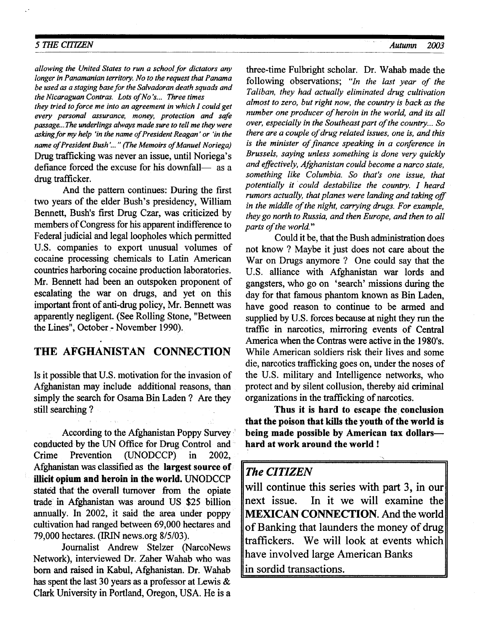#### 5 THE CITIZEN Autumn 2003

allowing the United States to run a school for dictators any longer in Panamanian territory. No to the request that Panama be used as a staging base for the Salvadoran death squads and the Nicaraguan Contras. Lots of No's... Three times

they tried to force me into an agreement in which  $I$  could get every personal assurance, money, protection and safe passage...The underlings always made sure to tell me they were asking for my help 'in the name of President Reagan' or 'in the name of President Bush'..." (The Memoirs of Manuel Noriega) Drug trafficking was never an issue, until Noriega's defiance forced the excuse for his downfall- as a drug trafficker.

And the pattern continues: During the first two years of the elder Bush's presidency, William Bennett, Bush's first Drug Czar, was criticized by members of Congress for his apparent indifference to Federal judicial and legal loopholes which permitted U.S. companies to export unusual volumes of cocaine processing chemicals to Latin American counties harboring cocaine production laboratories. Mr. Bennett had been an outspoken proponent of escalating the war on drugs, and yet on this important front of anti-drug policy, Mr. Bennett was apparently negligent. (See Rolling Stone, "Between the Lines", October - November 1990).

### THE AFGHANISTAN CONNECTION

Is it possible that U.S. motivation for the invasion of Afghanistan may include additional reasons, than simply the search for Osama Bin Laden ? Are they still searching ?

According to the Afghanistan Poppy Survey ' codducted by the UN Office for Drug Control and ' Crime Prevention (LINODCCP) in 2002, Afghanistan was classified as the largest source of illicit opium and heroin in the world. UNODCCP stated that the overall turnover from the opiate trade in Afghanistan was around US \$25 billion annually. ln 2002, it said the area under poppy cultivation had ranged between 69,000 hectares and 79,000 hectares. GRIN news.org 8/5/03).

Journalist Andrew Stelzer (NarcoNews Network), interviewed Dr. Zaher Wahab who was born and raised in Kabul, Afghanistan. Dr. Wahab has spent the last 30 years as a professor at Lewis & Clark University in Portland, Oregon, USA. He is a

three-time Fulbright scholar. Dr. Wahab made the following observations; "In the last year of the Taliban, they had actually eliminated drug cultivation almost to zero, but right now, the country is back as the number one producer of heroin in the world, and its all over, especially in the Southeast part of the country... So there are a couple of drug related issues, one is, and this is the minister of finance speaking in a conference in Brussels, saying unless something is done very quickly and effectively, Afghanistan could become a narco state, something like Columbia. So that's one issue, that potentially it could destabilize the country. I heard rumors actually, that planes were landing and taking of in the middle of the night, carrying drugs. For example, they go north to Russia, and then Europe, and then to all parts of the world."

Could it be, that the Bush administation does not know ? Maybe it just does not care about the War on Drugs anymore ? One could say that the U.S. alliance with Afghanistan war lords and gangsters, who go on 'search' missions during the day for that famous phantom known as Bin Laden, have good reason to continue to be armed and supplied by U.S. forces because at night they run the traffic in narcotics, mirroring events of Central America when the Contras were active in the 1980's. While American soldiers risk their lives and some die, narcotics traffrcking goes on, under the noses of the U.S. military and Intelligence networks, who protect and by silent collusion, thereby aid criminal organizations in the trafficking of narcotics.

Thus it is hard to escape the conclusion that the poison that kills the youth of the world is being made possible by American tax dollarshard at work around the world !

#### The CITIZEN

will continue this series with part 3, in our next issue. In it we will examine the MEXICAN CONNECTION. And the world of Banking that launders the money of drug traffickers. We will look at events which have involved large American Banks in sordid transactions.